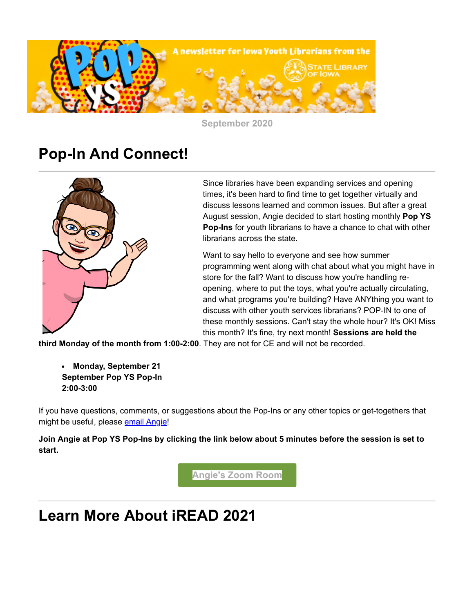

**September 2020**

## **Pop-In And Connect!**



Since libraries have been expanding services and opening times, it's been hard to find time to get together virtually and discuss lessons learned and common issues. But after a great August session, Angie decided to start hosting monthly **Pop YS Pop-Ins** for youth librarians to have a chance to chat with other librarians across the state.

Want to say hello to everyone and see how summer programming went along with chat about what you might have in store for the fall? Want to discuss how you're handling reopening, where to put the toys, what you're actually circulating, and what programs you're building? Have ANYthing you want to discuss with other youth services librarians? POP-IN to one of these monthly sessions. Can't stay the whole hour? It's OK! Miss this month? It's fine, try next month! **Sessions are held the**

**third Monday of the month from 1:00-2:00**. They are not for CE and will not be recorded.

**Monday, September 21 September Pop YS Pop-In 2:00-3:00**

If you have questions, comments, or suggestions about the Pop-Ins or any other topics or get-togethers that might be useful, please [email Angie!](mailto:angie.manfredi@iowa.gov)

**Join Angie at Pop YS Pop-Ins by clicking the link below about 5 minutes before the session is set to start.**

**[Angie's Zoom Room](https://zoom.us/j/5152817572?utm_medium=email&utm_source=govdelivery)**

# **Learn More About iREAD 2021**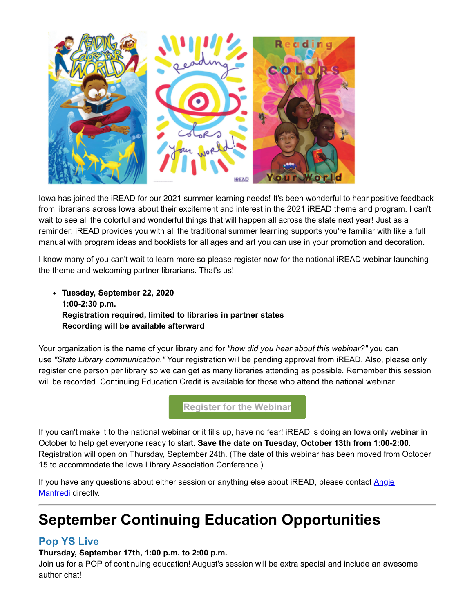

Iowa has joined the iREAD for our 2021 summer learning needs! It's been wonderful to hear positive feedback from librarians across Iowa about their excitement and interest in the 2021 iREAD theme and program. I can't wait to see all the colorful and wonderful things that will happen all across the state next year! Just as a reminder: iREAD provides you with all the traditional summer learning supports you're familiar with like a full manual with program ideas and booklists for all ages and art you can use in your promotion and decoration.

I know many of you can't wait to learn more so please register now for the national iREAD webinar launching the theme and welcoming partner librarians. That's us!

**Tuesday, September 22, 2020 1:00-2:30 p.m. Registration required, limited to libraries in partner states Recording will be available afterward**

Your organization is the name of your library and for *"how did you hear about this webinar?"* you can use *"State Library communication."* Your registration will be pending approval from iREAD. Also, please only register one person per library so we can get as many libraries attending as possible. Remember this session will be recorded. Continuing Education Credit is available for those who attend the national webinar.

**[Register for the Webinar](https://us02web.zoom.us/webinar/register/WN_zB2_J-BAQhql681PthMfUg?utm_medium=email&utm_source=govdelivery)**

If you can't make it to the national webinar or it fills up, have no fear! iREAD is doing an Iowa only webinar in October to help get everyone ready to start. **Save the date on Tuesday, October 13th from 1:00-2:00**. Registration will open on Thursday, September 24th. (The date of this webinar has been moved from October 15 to accommodate the Iowa Library Association Conference.)

[If you have any questions about either session or anything else about iREAD, please contact](mailto:angie.manfredi@iowa.gov) Angie Manfredi directly.

# **September Continuing Education Opportunities**

### **Pop YS Live**

**Thursday, September 17th, 1:00 p.m. to 2:00 p.m.**

Join us for a POP of continuing education! August's session will be extra special and include an awesome author chat!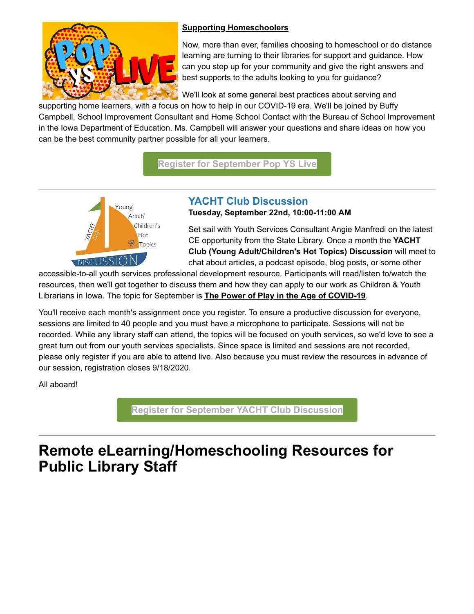

### **Supporting Homeschoolers**

Now, more than ever, families choosing to homeschool or do distance learning are turning to their libraries for support and guidance. How can you step up for your community and give the right answers and best supports to the adults looking to you for guidance?

We'll look at some general best practices about serving and

supporting home learners, with a focus on how to help in our COVID-19 era. We'll be joined by Buffy Campbell, School Improvement Consultant and Home School Contact with the Bureau of School Improvement in the Iowa Department of Education. Ms. Campbell will answer your questions and share ideas on how you can be the best community partner possible for all your learners.

**[Register for September Pop YS Live](https://statelibraryofiowa.lmscheckout.com/Course/view/pysl09-1?utm_medium=email&utm_source=govdelivery)**



#### **YACHT Club Discussion Tuesday, September 22nd, 10:00-11:00 AM**

Set sail with Youth Services Consultant Angie Manfredi on the latest CE opportunity from the State Library. Once a month the **YACHT Club (Young Adult/Children's Hot Topics) Discussion** will meet to chat about articles, a podcast episode, blog posts, or some other

accessible-to-all youth services professional development resource. Participants will read/listen to/watch the resources, then we'll get together to discuss them and how they can apply to our work as Children & Youth Librarians in Iowa. The topic for September is **The Power of Play in the Age of COVID-19**.

You'll receive each month's assignment once you register. To ensure a productive discussion for everyone, sessions are limited to 40 people and you must have a microphone to participate. Sessions will not be recorded. While any library staff can attend, the topics will be focused on youth services, so we'd love to see a great turn out from our youth services specialists. Since space is limited and sessions are not recorded, please only register if you are able to attend live. Also because you must review the resources in advance of our session, registration closes 9/18/2020.

All aboard!

**[Register for September YACHT Club Discussion](https://statelibraryofiowa.lmscheckout.com/Course/view/yacht09-1?utm_medium=email&utm_source=govdelivery)**

# **Remote eLearning/Homeschooling Resources for Public Library Staff**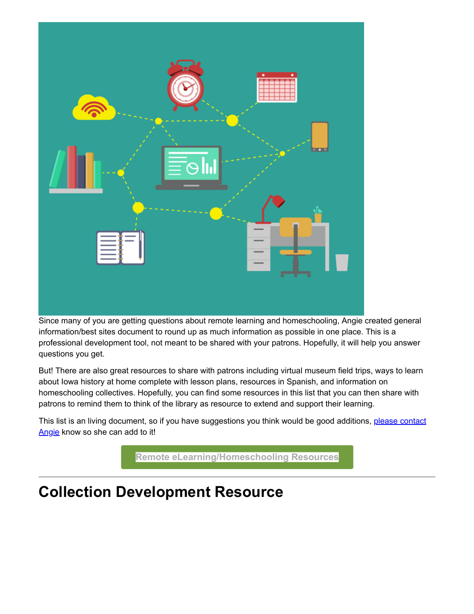

Since many of you are getting questions about remote learning and homeschooling, Angie created general information/best sites document to round up as much information as possible in one place. This is a professional development tool, not meant to be shared with your patrons. Hopefully, it will help you answer questions you get.

But! There are also great resources to share with patrons including virtual museum field trips, ways to learn about Iowa history at home complete with lesson plans, resources in Spanish, and information on homeschooling collectives. Hopefully, you can find some resources in this list that you can then share with patrons to remind them to think of the library as resource to extend and support their learning.

[This list is an living document, so if you have suggestions you think would be good additions,](mailto:angie.manfredi@iowa.gov) please contact Angie know so she can add to it!

**[Remote eLearning/Homeschooling Resources](https://docs.google.com/spreadsheets/d/1RQu3jIKARNEpn3mM0Q0TsYk013yFAXpGhrHhlVd9-KA/edit?utm_medium=email&utm_source=govdelivery#gid=0)**

## **Collection Development Resource**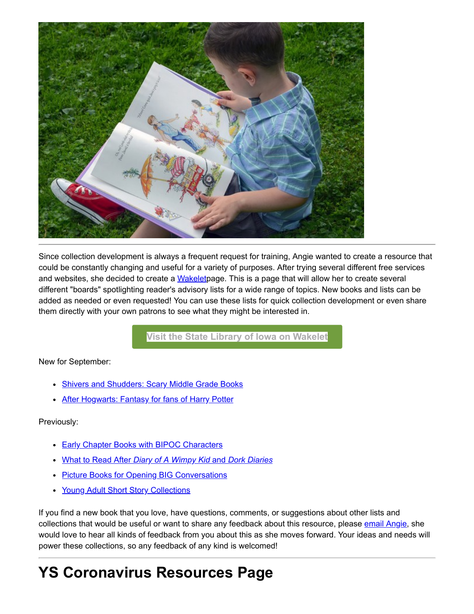

Since collection development is always a frequent request for training, Angie wanted to create a resource that could be constantly changing and useful for a variety of purposes. After trying several different free services and websites, she decided to create a [Wakeletp](https://wakelet.com/?utm_medium=email&utm_source=govdelivery)age. This is a page that will allow her to create several different "boards" spotlighting reader's advisory lists for a wide range of topics. New books and lists can be added as needed or even requested! You can use these lists for quick collection development or even share them directly with your own patrons to see what they might be interested in.

**[Visit the State Library of Iowa on Wakelet](https://wakelet.com/@StateLibraryofIowa?utm_medium=email&utm_source=govdelivery)**

New for September:

- [Shivers and Shudders: Scary Middle Grade Books](https://wakelet.com/wake/m-EdtRDalnHlWXhTOkutB?utm_medium=email&utm_source=govdelivery)
- [After Hogwarts: Fantasy for fans of Harry Potter](https://wke.lt/w/s/dzB7_X?utm_medium=email&utm_source=govdelivery)

#### Previously:

- [Early Chapter Books with BIPOC Characters](https://wke.lt/w/s/OI5Xi6?utm_medium=email&utm_source=govdelivery)
- What to Read After *[Diary of A Wimpy Kid](https://wke.lt/w/s/niOvEk?utm_medium=email&utm_source=govdelivery)* [and](https://wke.lt/w/s/niOvEk?utm_medium=email&utm_source=govdelivery) *[Dork Diaries](https://wke.lt/w/s/niOvEk?utm_medium=email&utm_source=govdelivery)*
- [Picture Books for Opening BIG Conversations](https://wke.lt/w/s/B5LyrJ?utm_medium=email&utm_source=govdelivery)
- [Young Adult Short Story Collections](https://wke.lt/w/s/Ua-TPG?utm_medium=email&utm_source=govdelivery)

If you find a new book that you love, have questions, comments, or suggestions about other lists and collections that would be useful or want to share any feedback about this resource, please [email Angie,](mailto:angie.manfredi@iowa.gov) she would love to hear all kinds of feedback from you about this as she moves forward. Your ideas and needs will power these collections, so any feedback of any kind is welcomed!

# **YS Coronavirus Resources Page**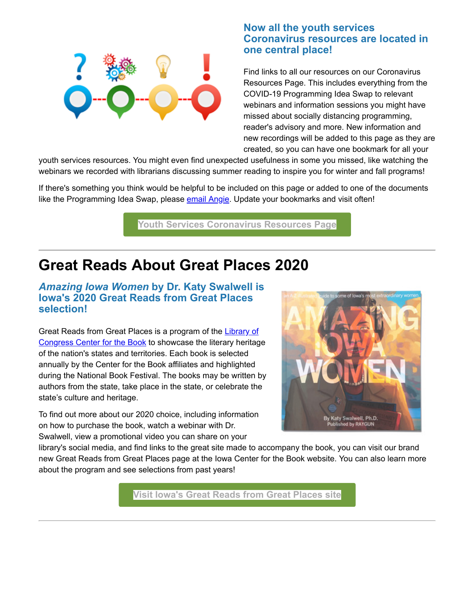

### **Now all the youth services Coronavirus resources are located in one central place!**

Find links to all our resources on our Coronavirus Resources Page. This includes everything from the COVID-19 Programming Idea Swap to relevant webinars and information sessions you might have missed about socially distancing programming, reader's advisory and more. New information and new recordings will be added to this page as they are created, so you can have one bookmark for all your

youth services resources. You might even find unexpected usefulness in some you missed, like watching the webinars we recorded with librarians discussing summer reading to inspire you for winter and fall programs!

If there's something you think would be helpful to be included on this page or added to one of the documents like the Programming Idea Swap, please [email Angie](mailto:angie.manfredi@iowa.gov). Update your bookmarks and visit often!

**[Youth Services Coronavirus Resources Page](https://www.statelibraryofiowa.org/ld/c-d/covid-19/youth-services?utm_medium=email&utm_source=govdelivery)**

### **Great Reads About Great Places 2020**

### *Amazing Iowa Women* **by Dr. Katy Swalwell is Iowa's 2020 Great Reads from Great Places selection!**

[Great Reads from Great Places is a program of the](http://www.read.gov/cfb/?utm_medium=email&utm_source=govdelivery) Library of Congress Center for the Book to showcase the literary heritage of the nation's states and territories. Each book is selected annually by the Center for the Book affiliates and highlighted during the National Book Festival. The books may be written by authors from the state, take place in the state, or celebrate the state's culture and heritage.

To find out more about our 2020 choice, including information on how to purchase the book, watch a webinar with Dr. Swalwell, view a promotional video you can share on your



library's social media, and find links to the great site made to accompany the book, you can visit our brand new Great Reads from Great Places page at the Iowa Center for the Book website. You can also learn more about the program and see selections from past years!

**[Visit Iowa's Great Reads from Great Places site](https://www.iowacenterforthebook.org/great-reads/index?utm_medium=email&utm_source=govdelivery)**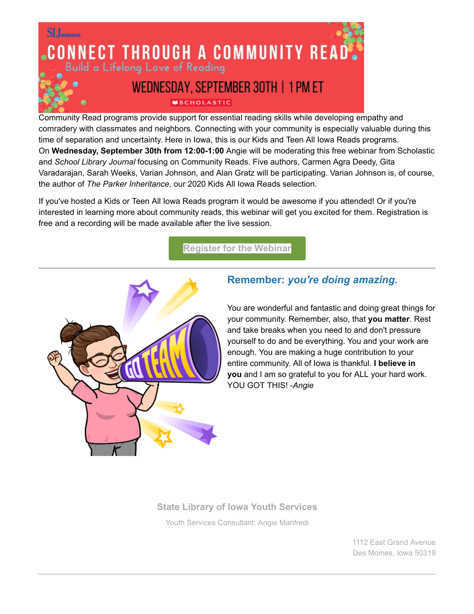

Community Read programs provide support for essential reading skills while developing empathy and comradery with classmates and neighbors. Connecting with your community is especially valuable during this time of separation and uncertainty. Here in Iowa, this is our Kids and Teen All Iowa Reads programs. On **Wednesday, September 30th from 12:00-1:00** Angie will be moderating this free webinar from Scholastic and *School Library Journal* focusing on Community Reads. Five authors, Carmen Agra Deedy, Gita Varadarajan, Sarah Weeks, Varian Johnson, and Alan Gratz will be participating. Varian Johnson is, of course, the author of *The Parker Inheritance,* our 2020 Kids All Iowa Reads selection.

If you've hosted a Kids or Teen All Iowa Reads program it would be awesome if you attended! Or if you're interested in learning more about community reads, this webinar will get you excited for them. Registration is free and a recording will be made available after the live session.

**[Register for the Webinar](https://www.slj.com/?event=connect-through-a-community-read&utm_medium=email&utm_source=govdelivery)**



### **Remember:** *you're doing amazing.*

You are wonderful and fantastic and doing great things for your community. Remember, also, that **you matter**. Rest and take breaks when you need to and don't pressure yourself to do and be everything. You and your work are enough. You are making a huge contribution to your entire community. All of Iowa is thankful. **I believe in you** and I am so grateful to you for ALL your hard work. YOU GOT THIS! -*Angie* 

### **[State Library of Iowa Youth Services](https://www.statelibraryofiowa.org/ld/t-z/youthservices?utm_medium=email&utm_source=govdelivery)**

Youth Services Consultant: [Angie Manfredi](mailto:angie.manfredi@iowa.gov)

1112 East Grand Avenue Des Moines, Iowa 50319